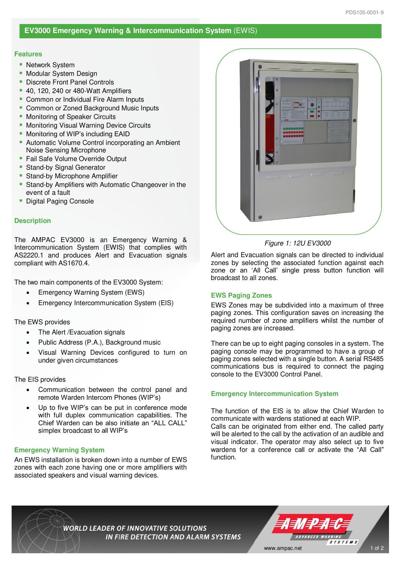# **EV3000 Emergency Warning & Intercommunication System** (EWIS)

#### **Features**

- Network System
- Modular System Design
- **Discrete Front Panel Controls**
- 40, 120, 240 or 480-Watt Amplifiers
- Common or Individual Fire Alarm Inputs
- Common or Zoned Background Music Inputs
- **Monitoring of Speaker Circuits**
- Monitoring Visual Warning Device Circuits
- Monitoring of WIP's including EAID
- **E** Automatic Volume Control incorporating an Ambient Noise Sensing Microphone
- Fail Safe Volume Override Output
- **Stand-by Signal Generator**
- Stand-by Microphone Amplifier
- Stand-by Amplifiers with Automatic Changeover in the event of a fault
- **Digital Paging Console**

#### **Description**

The AMPAC EV3000 is an Emergency Warning & Intercommunication System (EWIS) that complies with AS2220.1 and produces Alert and Evacuation signals compliant with AS1670.4.

The two main components of the EV3000 System:

- Emergency Warning System (EWS)
- Emergency Intercommunication System (EIS)

### The EWS provides

- The Alert / Evacuation signals
- Public Address (P.A.), Background music
- Visual Warning Devices configured to turn on under given circumstances

### The EIS provides

- Communication between the control panel and remote Warden Intercom Phones (WIP's)
- Up to five WIP's can be put in conference mode with full duplex communication capabilities. The Chief Warden can be also initiate an "ALL CALL" simplex broadcast to all WIP's

### **Emergency Warning System**

An EWS installation is broken down into a number of EWS zones with each zone having one or more amplifiers with associated speakers and visual warning devices.



#### Figure 1: 12U EV3000

Alert and Evacuation signals can be directed to individual zones by selecting the associated function against each zone or an 'All Call' single press button function will broadcast to all zones.

### **EWS Paging Zones**

EWS Zones may be subdivided into a maximum of three paging zones. This configuration saves on increasing the required number of zone amplifiers whilst the number of paging zones are increased.

There can be up to eight paging consoles in a system. The paging console may be programmed to have a group of paging zones selected with a single button. A serial RS485 communications bus is required to connect the paging console to the EV3000 Control Panel.

# **Emergency Intercommunication System**

The function of the EIS is to allow the Chief Warden to communicate with wardens stationed at each WIP. Calls can be originated from either end. The called party will be alerted to the call by the activation of an audible and visual indicator. The operator may also select up to five wardens for a conference call or activate the "All Call" function.

**WORLD LEADER OF INNOVATIVE SOLUTIONS** IN FIRE DETECTION AND ALARM SYSTEMS